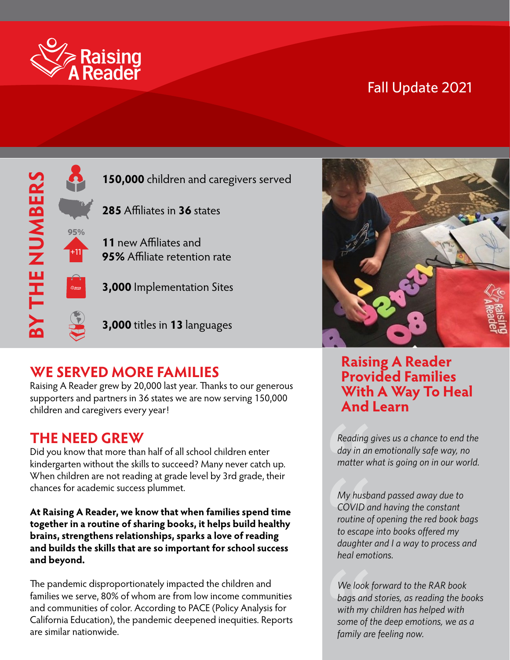

## Fall Update 2021



# **WE SERVED MORE FAMILIES**

**WE SERVED MORE FAMILIES**<br>Raising A Reader grew by 20,000 last year. Thanks to our generous<br>supporters and partners in 24 states we are now serving 150,000 Raising A Reader grew by 20,000 last year. Thanks to our generou<br>supporters and partners in 36 states we are now serving 150,000<br>skildwe and semainers seconomed children and caregivers every year!

#### **THE NEED GREW**

Did you know that more than half of all school children enter kindergarten without the skills to succeed? Many never catch up. When children are not reading at grade level by 3rd grade, their chances for academic success plummet.

**At Raising A Reader, we know that when families spend time together in a routine of sharing books, it helps build healthy brains, strengthens relationships, sparks a love of reading and builds the skills that are so important for school success and beyond.**

The pandemic disproportionately impacted the children and families we serve, 80% of whom are from low income communities and communities of color. According to PACE (Policy Analysis for California Education), the pandemic deepened inequities. Reports are similar nationwide.



#### **Raising A Reader Provided Families With A Way To Heal And Learn**

Reading g<br>day in an<br>matter wl<br>My husba<br>COVID ar *Reading gives us a chance to end the day in an emotionally safe way, no matter what is going on in our world.*

- *to escape into books offered my*  My husba<br>COVID ar<br>routine of<br>to escape<br>daughter<br>heal emot *My husband passed away due to COVID and having the constant routine of opening the red book bags daughter and I a way to process and heal emotions.*

We look f<br>bags and<br>with my c<br>some of tl<br>family are *We look forward to the RAR book bags and stories, as reading the books with my children has helped with some of the deep emotions, we as a family are feeling now.*